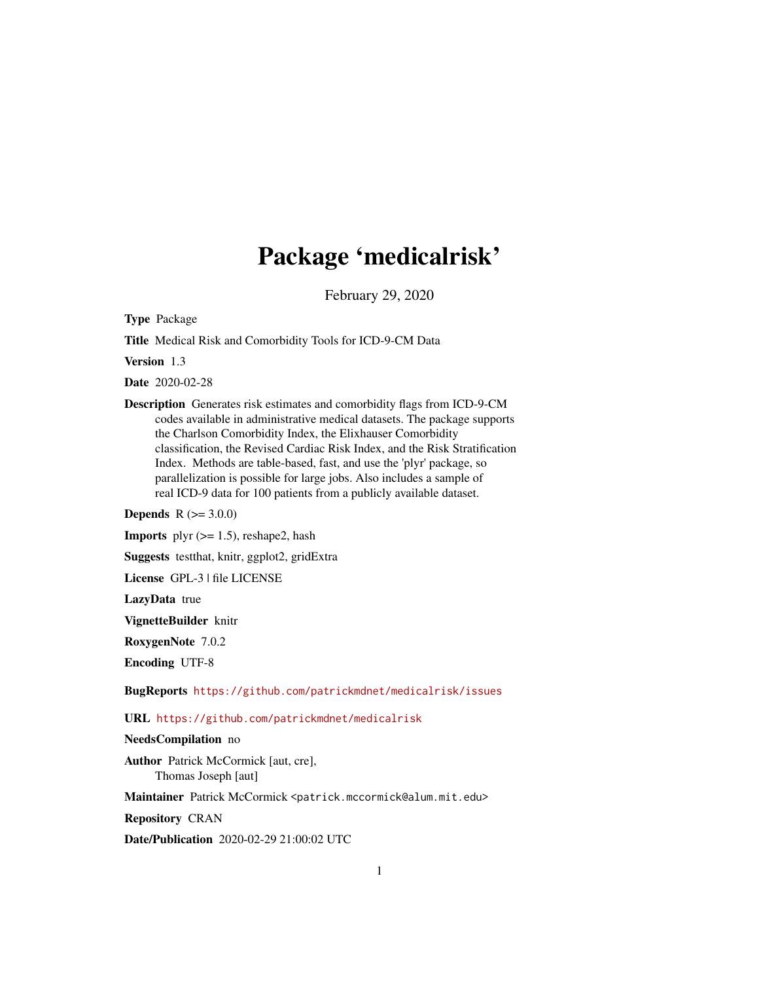# Package 'medicalrisk'

February 29, 2020

<span id="page-0-0"></span>Type Package

Title Medical Risk and Comorbidity Tools for ICD-9-CM Data

Version 1.3

Date 2020-02-28

Description Generates risk estimates and comorbidity flags from ICD-9-CM codes available in administrative medical datasets. The package supports the Charlson Comorbidity Index, the Elixhauser Comorbidity classification, the Revised Cardiac Risk Index, and the Risk Stratification Index. Methods are table-based, fast, and use the 'plyr' package, so parallelization is possible for large jobs. Also includes a sample of real ICD-9 data for 100 patients from a publicly available dataset.

**Depends**  $R (= 3.0.0)$ 

**Imports** plyr  $(>= 1.5)$ , reshape2, hash

Suggests testthat, knitr, ggplot2, gridExtra

License GPL-3 | file LICENSE

LazyData true

VignetteBuilder knitr

RoxygenNote 7.0.2

Encoding UTF-8

BugReports <https://github.com/patrickmdnet/medicalrisk/issues>

URL <https://github.com/patrickmdnet/medicalrisk>

#### NeedsCompilation no

Author Patrick McCormick [aut, cre], Thomas Joseph [aut]

Maintainer Patrick McCormick <patrick.mccormick@alum.mit.edu>

Repository CRAN

Date/Publication 2020-02-29 21:00:02 UTC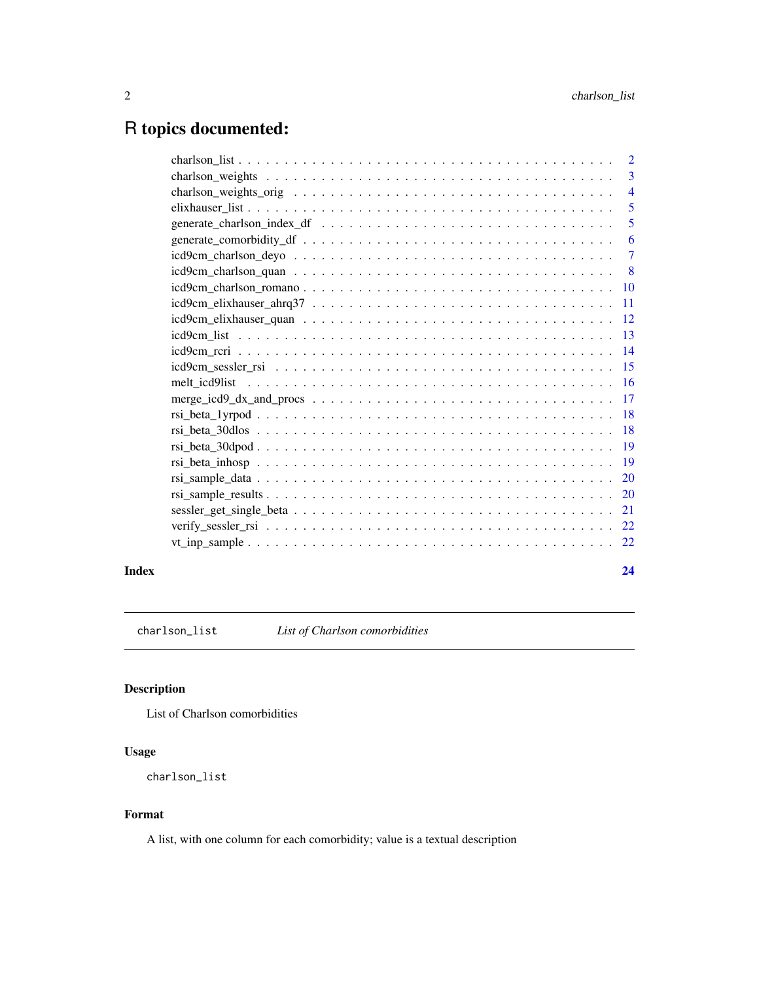## <span id="page-1-0"></span>R topics documented:

|                                                                                                                                                                                                                                                                                                                                   | $\overline{2}$  |
|-----------------------------------------------------------------------------------------------------------------------------------------------------------------------------------------------------------------------------------------------------------------------------------------------------------------------------------|-----------------|
|                                                                                                                                                                                                                                                                                                                                   | 3               |
|                                                                                                                                                                                                                                                                                                                                   | $\overline{4}$  |
|                                                                                                                                                                                                                                                                                                                                   | 5               |
|                                                                                                                                                                                                                                                                                                                                   | 5               |
|                                                                                                                                                                                                                                                                                                                                   | 6               |
|                                                                                                                                                                                                                                                                                                                                   | $\tau$          |
|                                                                                                                                                                                                                                                                                                                                   | - 8             |
|                                                                                                                                                                                                                                                                                                                                   | $\overline{10}$ |
|                                                                                                                                                                                                                                                                                                                                   | -11             |
|                                                                                                                                                                                                                                                                                                                                   |                 |
|                                                                                                                                                                                                                                                                                                                                   |                 |
|                                                                                                                                                                                                                                                                                                                                   | $\overline{14}$ |
|                                                                                                                                                                                                                                                                                                                                   |                 |
|                                                                                                                                                                                                                                                                                                                                   |                 |
|                                                                                                                                                                                                                                                                                                                                   |                 |
| $rsi_{\text{beta}}$ $\text{leta}_{\text{alpha}}$ $\text{1}$ $\text{1}$ $\text{1}$ $\text{1}$ $\text{1}$ $\text{1}$ $\text{1}$ $\text{1}$ $\text{1}$ $\text{1}$ $\text{1}$ $\text{1}$ $\text{1}$ $\text{1}$ $\text{1}$ $\text{1}$ $\text{1}$ $\text{1}$ $\text{1}$ $\text{1}$ $\text{1}$ $\text{1}$ $\text{1}$ $\text{1}$ $\text{$ | -18             |
|                                                                                                                                                                                                                                                                                                                                   |                 |
|                                                                                                                                                                                                                                                                                                                                   | - 19            |
|                                                                                                                                                                                                                                                                                                                                   |                 |
| $rsi\_sample\_data \ldots \ldots \ldots \ldots \ldots \ldots \ldots \ldots \ldots \ldots \ldots \ldots \ldots$                                                                                                                                                                                                                    | 20              |
|                                                                                                                                                                                                                                                                                                                                   | 20              |
|                                                                                                                                                                                                                                                                                                                                   | 21              |
|                                                                                                                                                                                                                                                                                                                                   | 22              |
|                                                                                                                                                                                                                                                                                                                                   | 22              |
|                                                                                                                                                                                                                                                                                                                                   |                 |

#### **Index** [24](#page-23-0)

<span id="page-1-1"></span>charlson\_list *List of Charlson comorbidities*

#### Description

List of Charlson comorbidities

### Usage

```
charlson_list
```
#### Format

A list, with one column for each comorbidity; value is a textual description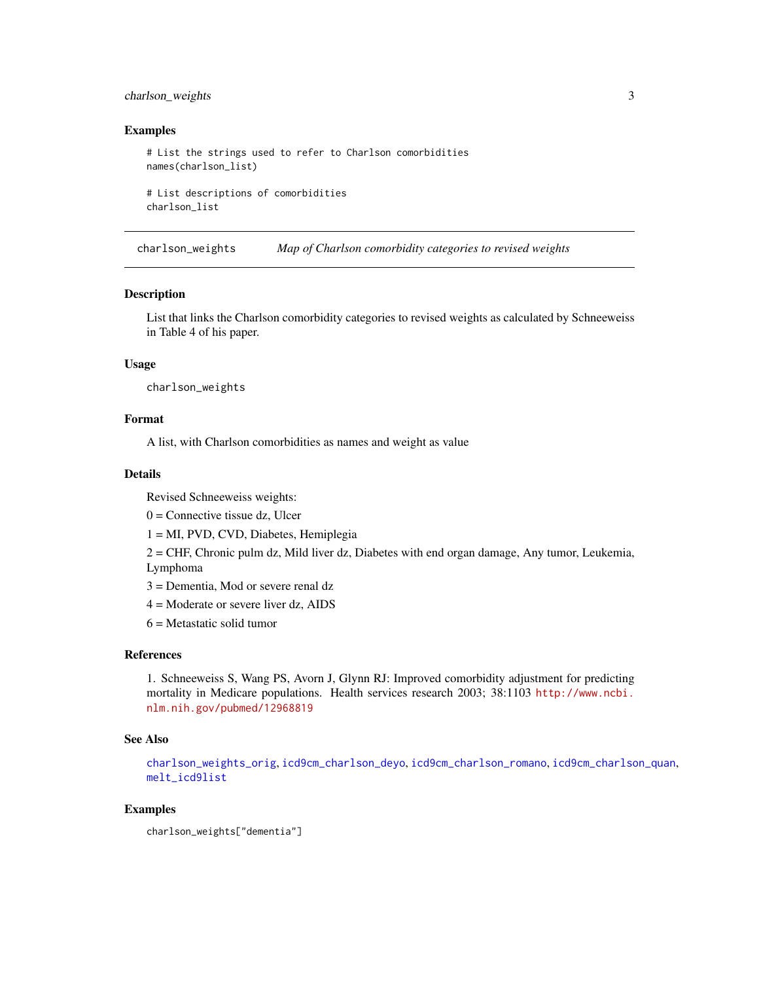#### <span id="page-2-0"></span>charlson\_weights 3

#### Examples

```
# List the strings used to refer to Charlson comorbidities
names(charlson_list)
```
# List descriptions of comorbidities charlson\_list

<span id="page-2-1"></span>charlson\_weights *Map of Charlson comorbidity categories to revised weights*

#### **Description**

List that links the Charlson comorbidity categories to revised weights as calculated by Schneeweiss in Table 4 of his paper.

#### Usage

charlson\_weights

#### Format

A list, with Charlson comorbidities as names and weight as value

#### Details

Revised Schneeweiss weights:

 $0 =$  Connective tissue dz, Ulcer

1 = MI, PVD, CVD, Diabetes, Hemiplegia

2 = CHF, Chronic pulm dz, Mild liver dz, Diabetes with end organ damage, Any tumor, Leukemia, Lymphoma

3 = Dementia, Mod or severe renal dz

4 = Moderate or severe liver dz, AIDS

 $6$  = Metastatic solid tumor

#### References

1. Schneeweiss S, Wang PS, Avorn J, Glynn RJ: Improved comorbidity adjustment for predicting mortality in Medicare populations. Health services research 2003; 38:1103 [http://www.ncbi.](http://www.ncbi.nlm.nih.gov/pubmed/12968819) [nlm.nih.gov/pubmed/12968819](http://www.ncbi.nlm.nih.gov/pubmed/12968819)

#### See Also

[charlson\\_weights\\_orig](#page-3-1), [icd9cm\\_charlson\\_deyo](#page-6-1), [icd9cm\\_charlson\\_romano](#page-9-1), [icd9cm\\_charlson\\_quan](#page-7-1), [melt\\_icd9list](#page-15-1)

#### Examples

```
charlson_weights["dementia"]
```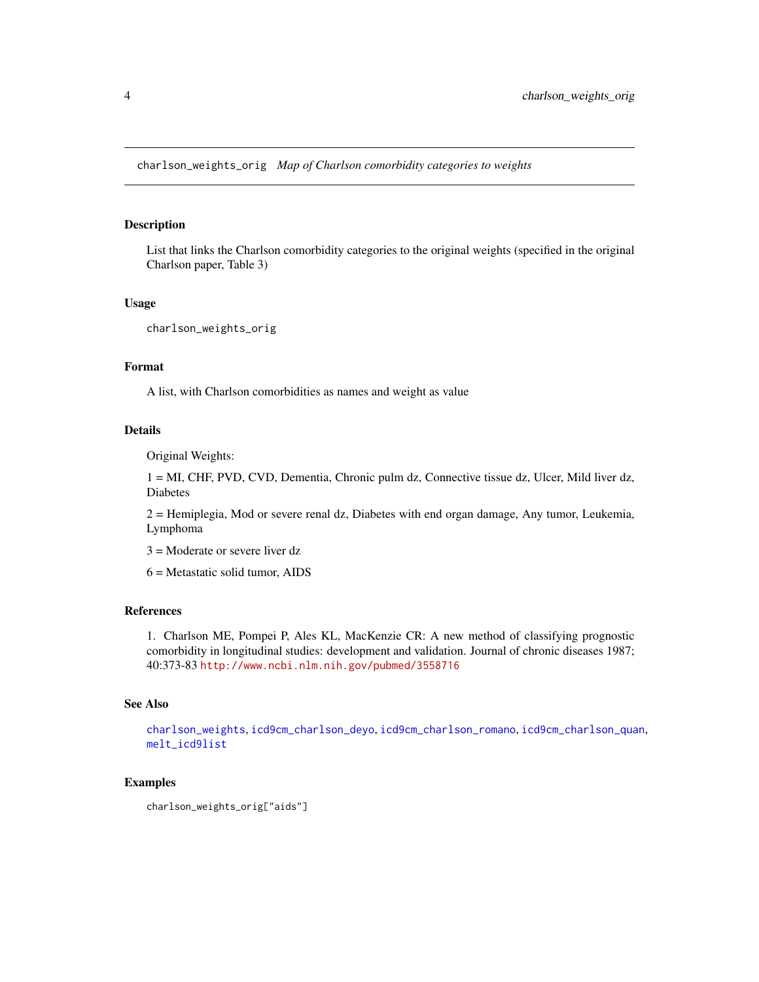<span id="page-3-1"></span><span id="page-3-0"></span>charlson\_weights\_orig *Map of Charlson comorbidity categories to weights*

#### Description

List that links the Charlson comorbidity categories to the original weights (specified in the original Charlson paper, Table 3)

#### Usage

charlson\_weights\_orig

#### Format

A list, with Charlson comorbidities as names and weight as value

#### Details

Original Weights:

1 = MI, CHF, PVD, CVD, Dementia, Chronic pulm dz, Connective tissue dz, Ulcer, Mild liver dz, Diabetes

2 = Hemiplegia, Mod or severe renal dz, Diabetes with end organ damage, Any tumor, Leukemia, Lymphoma

3 = Moderate or severe liver dz

6 = Metastatic solid tumor, AIDS

#### References

1. Charlson ME, Pompei P, Ales KL, MacKenzie CR: A new method of classifying prognostic comorbidity in longitudinal studies: development and validation. Journal of chronic diseases 1987; 40:373-83 <http://www.ncbi.nlm.nih.gov/pubmed/3558716>

#### See Also

[charlson\\_weights](#page-2-1), [icd9cm\\_charlson\\_deyo](#page-6-1), [icd9cm\\_charlson\\_romano](#page-9-1), [icd9cm\\_charlson\\_quan](#page-7-1), [melt\\_icd9list](#page-15-1)

#### Examples

charlson\_weights\_orig["aids"]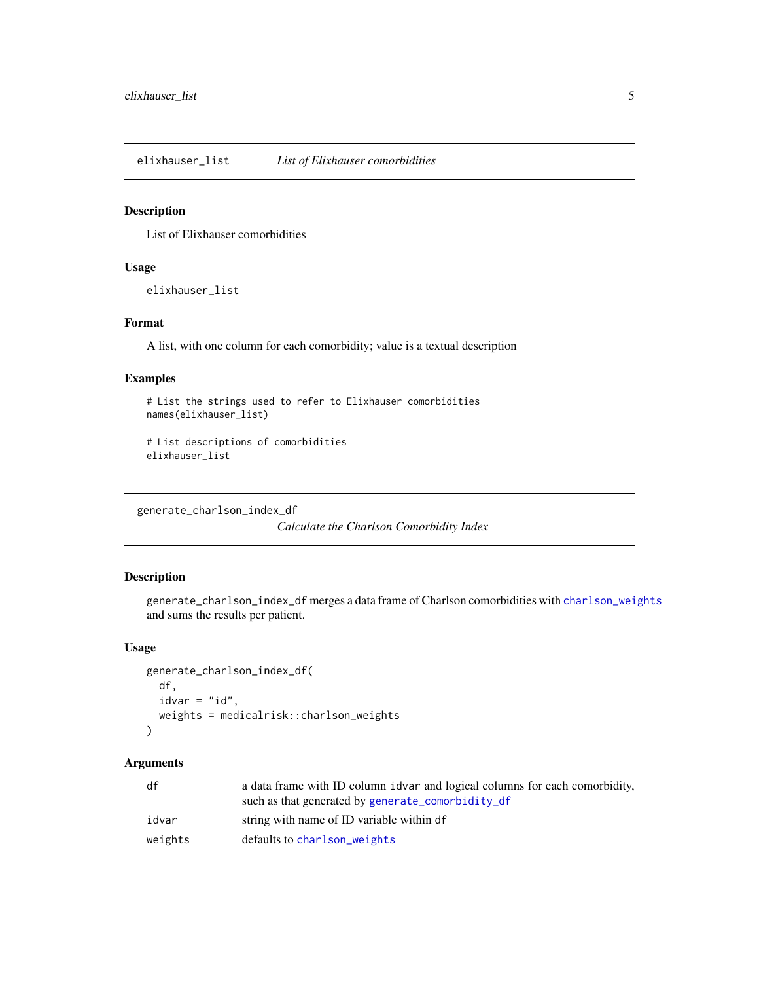<span id="page-4-1"></span><span id="page-4-0"></span>elixhauser\_list *List of Elixhauser comorbidities*

#### Description

List of Elixhauser comorbidities

#### Usage

elixhauser\_list

#### Format

A list, with one column for each comorbidity; value is a textual description

#### Examples

```
# List the strings used to refer to Elixhauser comorbidities
names(elixhauser_list)
# List descriptions of comorbidities
```

```
elixhauser_list
```
generate\_charlson\_index\_df

*Calculate the Charlson Comorbidity Index*

#### Description

generate\_charlson\_index\_df merges a data frame of Charlson comorbidities with [charlson\\_weights](#page-2-1) and sums the results per patient.

#### Usage

```
generate_charlson_index_df(
 df,
 idvar = "id",weights = medicalrisk::charlson_weights
)
```
#### Arguments

| df      | a data frame with ID column idvar and logical columns for each comorbidity, |
|---------|-----------------------------------------------------------------------------|
|         | such as that generated by generate_comorbidity_df                           |
| idvar   | string with name of ID variable within df                                   |
| weights | defaults to charlson weights                                                |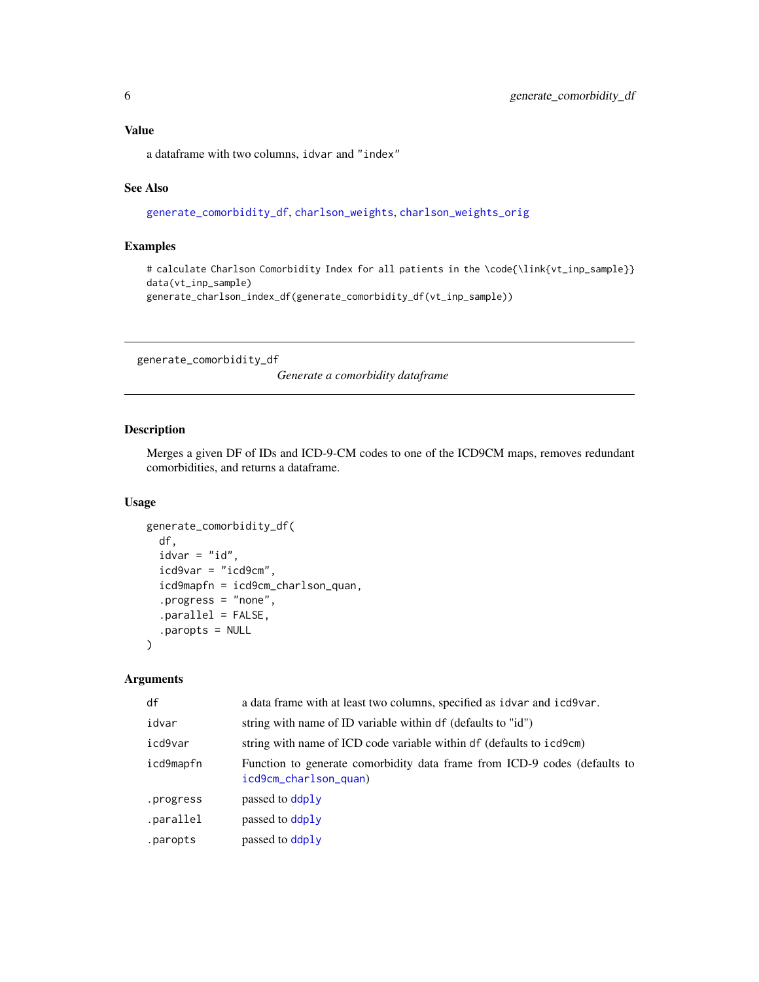#### <span id="page-5-0"></span>Value

a dataframe with two columns, idvar and "index"

#### See Also

[generate\\_comorbidity\\_df](#page-5-1), [charlson\\_weights](#page-2-1), [charlson\\_weights\\_orig](#page-3-1)

#### Examples

# calculate Charlson Comorbidity Index for all patients in the \code{\link{vt\_inp\_sample}} data(vt\_inp\_sample)

generate\_charlson\_index\_df(generate\_comorbidity\_df(vt\_inp\_sample))

<span id="page-5-1"></span>generate\_comorbidity\_df

*Generate a comorbidity dataframe*

#### Description

Merges a given DF of IDs and ICD-9-CM codes to one of the ICD9CM maps, removes redundant comorbidities, and returns a dataframe.

#### Usage

```
generate_comorbidity_df(
  df,
  idvar = "id",icd9var = "icd9cm",
  icd9mapfn = icd9cm_charlson_quan,
  .progress = "none",
  .parallel = FALSE,
  .paropts = NULL
\mathcal{L}
```
#### Arguments

| df        | a data frame with at least two columns, specified as idvar and icd9var.                            |  |
|-----------|----------------------------------------------------------------------------------------------------|--|
| idvar     | string with name of ID variable within df (defaults to "id")                                       |  |
| icd9var   | string with name of ICD code variable within df (defaults to icd9cm)                               |  |
| icd9mapfn | Function to generate comorbidity data frame from ICD-9 codes (defaults to<br>icd9cm_charlson_quan) |  |
| .progress | passed to ddply                                                                                    |  |
| .parallel | passed to ddply                                                                                    |  |
| .paropts  | passed to ddply                                                                                    |  |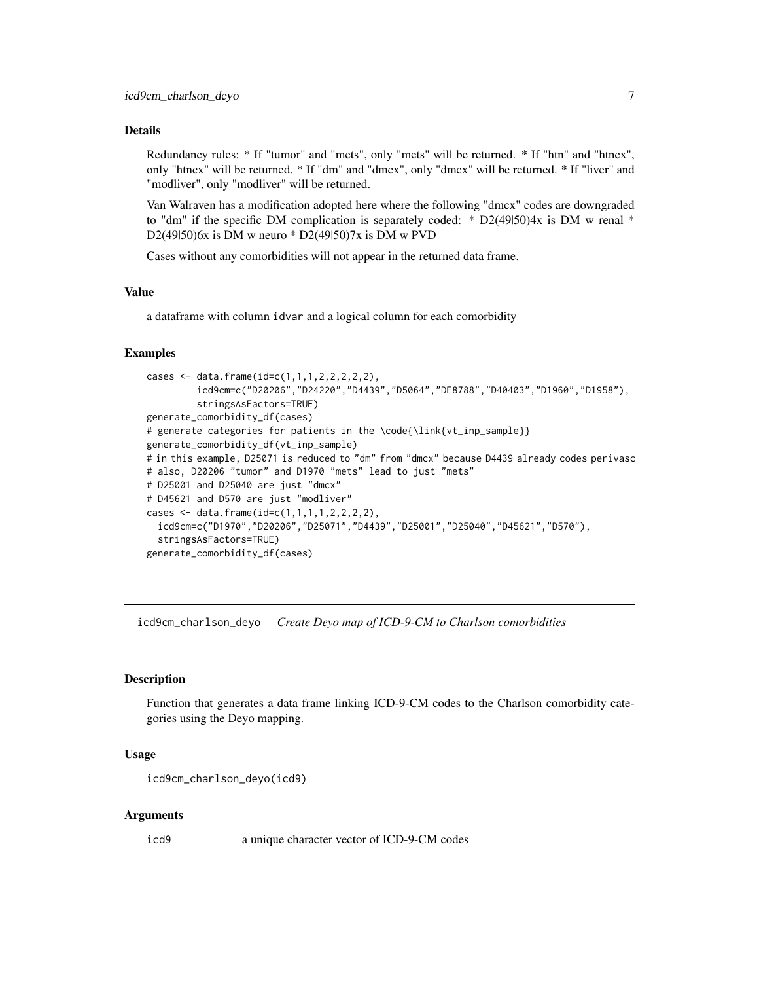#### <span id="page-6-0"></span>Details

Redundancy rules: \* If "tumor" and "mets", only "mets" will be returned. \* If "htn" and "htncx", only "htncx" will be returned. \* If "dm" and "dmcx", only "dmcx" will be returned. \* If "liver" and "modliver", only "modliver" will be returned.

Van Walraven has a modification adopted here where the following "dmcx" codes are downgraded to "dm" if the specific DM complication is separately coded:  $*$  D2(49l50)4x is DM w renal  $*$ D2(49|50)6x is DM w neuro \* D2(49|50)7x is DM w PVD

Cases without any comorbidities will not appear in the returned data frame.

#### Value

a dataframe with column idvar and a logical column for each comorbidity

#### Examples

```
cases <- data.frame(id=c(1,1,1,2,2,2,2,2),
         icd9cm=c("D20206","D24220","D4439","D5064","DE8788","D40403","D1960","D1958"),
         stringsAsFactors=TRUE)
generate_comorbidity_df(cases)
# generate categories for patients in the \code{\link{vt_inp_sample}}
generate_comorbidity_df(vt_inp_sample)
# in this example, D25071 is reduced to "dm" from "dmcx" because D4439 already codes perivasc
# also, D20206 "tumor" and D1970 "mets" lead to just "mets"
# D25001 and D25040 are just "dmcx"
# D45621 and D570 are just "modliver"
cases <- data.frame(id=c(1,1,1,1,2,2,2,2),
  icd9cm=c("D1970","D20206","D25071","D4439","D25001","D25040","D45621","D570"),
  stringsAsFactors=TRUE)
generate_comorbidity_df(cases)
```
<span id="page-6-1"></span>icd9cm\_charlson\_deyo *Create Deyo map of ICD-9-CM to Charlson comorbidities*

#### Description

Function that generates a data frame linking ICD-9-CM codes to the Charlson comorbidity categories using the Deyo mapping.

#### Usage

```
icd9cm_charlson_deyo(icd9)
```
#### **Arguments**

icd9 a unique character vector of ICD-9-CM codes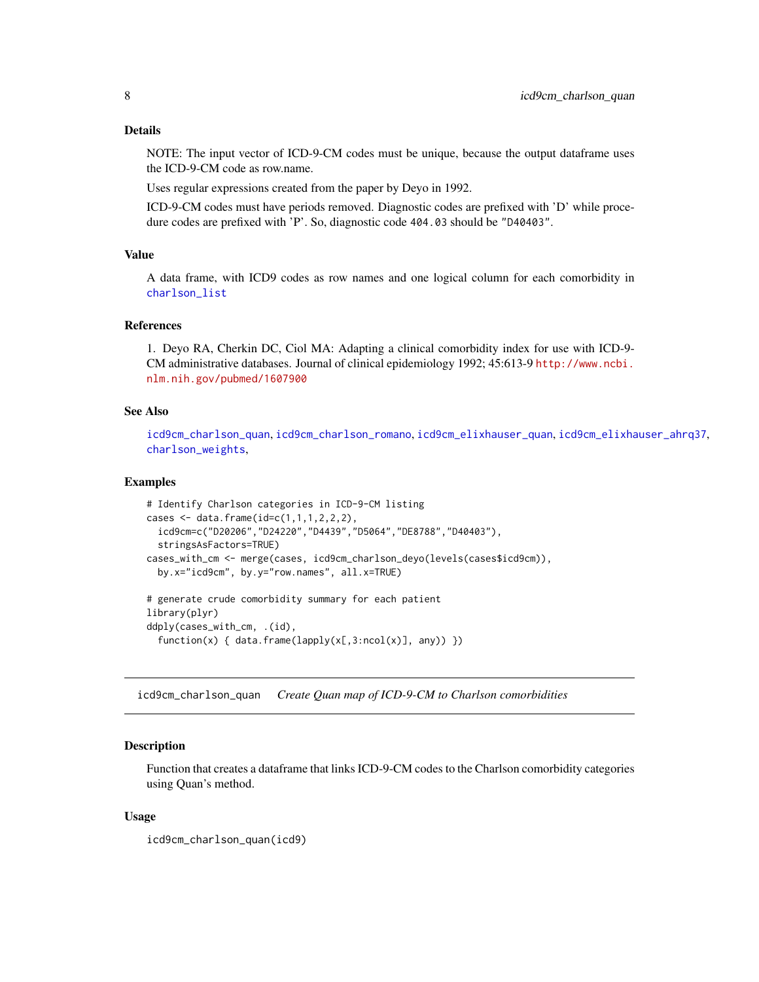#### <span id="page-7-0"></span>Details

NOTE: The input vector of ICD-9-CM codes must be unique, because the output dataframe uses the ICD-9-CM code as row.name.

Uses regular expressions created from the paper by Deyo in 1992.

ICD-9-CM codes must have periods removed. Diagnostic codes are prefixed with 'D' while procedure codes are prefixed with 'P'. So, diagnostic code 404.03 should be "D40403".

#### Value

A data frame, with ICD9 codes as row names and one logical column for each comorbidity in [charlson\\_list](#page-1-1)

#### **References**

1. Deyo RA, Cherkin DC, Ciol MA: Adapting a clinical comorbidity index for use with ICD-9- CM administrative databases. Journal of clinical epidemiology 1992; 45:613-9 [http://www.ncbi.](http://www.ncbi.nlm.nih.gov/pubmed/1607900) [nlm.nih.gov/pubmed/1607900](http://www.ncbi.nlm.nih.gov/pubmed/1607900)

#### See Also

[icd9cm\\_charlson\\_quan](#page-7-1), [icd9cm\\_charlson\\_romano](#page-9-1), [icd9cm\\_elixhauser\\_quan](#page-11-1), [icd9cm\\_elixhauser\\_ahrq37](#page-10-1), [charlson\\_weights](#page-2-1),

#### Examples

```
# Identify Charlson categories in ICD-9-CM listing
cases <- data.frame(id=c(1,1,1,2,2,2),
 icd9cm=c("D20206","D24220","D4439","D5064","DE8788","D40403"),
 stringsAsFactors=TRUE)
cases_with_cm <- merge(cases, icd9cm_charlson_deyo(levels(cases$icd9cm)),
 by.x="icd9cm", by.y="row.names", all.x=TRUE)
# generate crude comorbidity summary for each patient
library(plyr)
ddply(cases_with_cm, .(id),
  function(x) { data.frame(lapply(x[,3:ncol(x)], any)) })
```
<span id="page-7-1"></span>icd9cm\_charlson\_quan *Create Quan map of ICD-9-CM to Charlson comorbidities*

#### **Description**

Function that creates a dataframe that links ICD-9-CM codes to the Charlson comorbidity categories using Quan's method.

#### Usage

icd9cm\_charlson\_quan(icd9)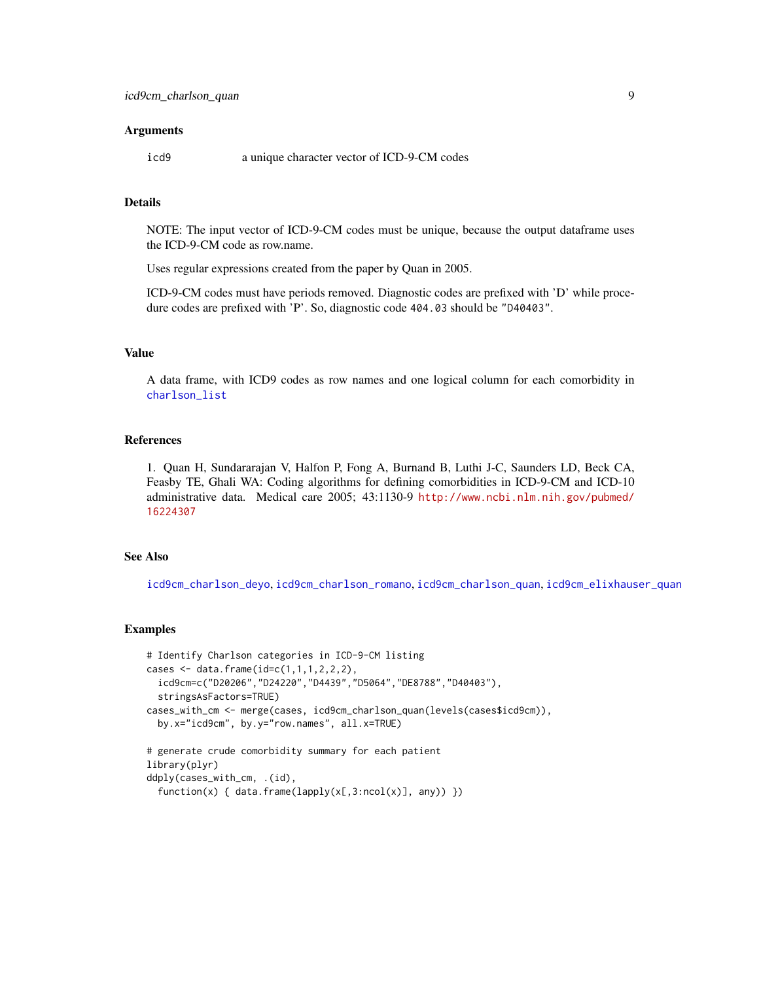#### <span id="page-8-0"></span>**Arguments**

icd9 a unique character vector of ICD-9-CM codes

#### Details

NOTE: The input vector of ICD-9-CM codes must be unique, because the output dataframe uses the ICD-9-CM code as row.name.

Uses regular expressions created from the paper by Quan in 2005.

ICD-9-CM codes must have periods removed. Diagnostic codes are prefixed with 'D' while procedure codes are prefixed with 'P'. So, diagnostic code 404.03 should be "D40403".

#### Value

A data frame, with ICD9 codes as row names and one logical column for each comorbidity in [charlson\\_list](#page-1-1)

#### References

1. Quan H, Sundararajan V, Halfon P, Fong A, Burnand B, Luthi J-C, Saunders LD, Beck CA, Feasby TE, Ghali WA: Coding algorithms for defining comorbidities in ICD-9-CM and ICD-10 administrative data. Medical care 2005; 43:1130-9 [http://www.ncbi.nlm.nih.gov/pubmed/](http://www.ncbi.nlm.nih.gov/pubmed/16224307) [16224307](http://www.ncbi.nlm.nih.gov/pubmed/16224307)

#### See Also

[icd9cm\\_charlson\\_deyo](#page-6-1), [icd9cm\\_charlson\\_romano](#page-9-1), [icd9cm\\_charlson\\_quan](#page-7-1), [icd9cm\\_elixhauser\\_quan](#page-11-1)

#### Examples

```
# Identify Charlson categories in ICD-9-CM listing
cases <- data.frame(id=c(1,1,1,2,2,2),
  icd9cm=c("D20206","D24220","D4439","D5064","DE8788","D40403"),
  stringsAsFactors=TRUE)
cases_with_cm <- merge(cases, icd9cm_charlson_quan(levels(cases$icd9cm)),
  by.x="icd9cm", by.y="row.names", all.x=TRUE)
# generate crude comorbidity summary for each patient
library(plyr)
ddply(cases_with_cm, .(id),
```

```
function(x) { data.frame(lapply(x[,3:ncol(x)], any)) })
```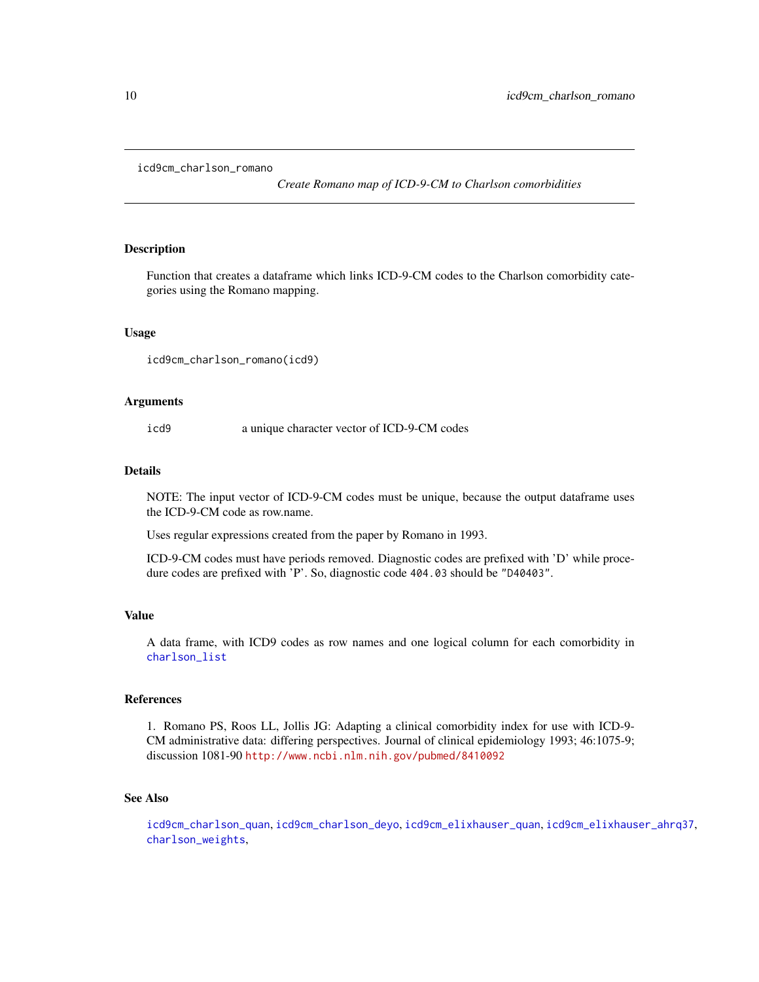```
icd9cm_charlson_romano
```
*Create Romano map of ICD-9-CM to Charlson comorbidities*

#### Description

Function that creates a dataframe which links ICD-9-CM codes to the Charlson comorbidity categories using the Romano mapping.

#### Usage

icd9cm\_charlson\_romano(icd9)

#### Arguments

icd9 a unique character vector of ICD-9-CM codes

#### Details

NOTE: The input vector of ICD-9-CM codes must be unique, because the output dataframe uses the ICD-9-CM code as row.name.

Uses regular expressions created from the paper by Romano in 1993.

ICD-9-CM codes must have periods removed. Diagnostic codes are prefixed with 'D' while procedure codes are prefixed with 'P'. So, diagnostic code 404.03 should be "D40403".

#### Value

A data frame, with ICD9 codes as row names and one logical column for each comorbidity in [charlson\\_list](#page-1-1)

#### References

1. Romano PS, Roos LL, Jollis JG: Adapting a clinical comorbidity index for use with ICD-9- CM administrative data: differing perspectives. Journal of clinical epidemiology 1993; 46:1075-9; discussion 1081-90 <http://www.ncbi.nlm.nih.gov/pubmed/8410092>

#### See Also

[icd9cm\\_charlson\\_quan](#page-7-1), [icd9cm\\_charlson\\_deyo](#page-6-1), [icd9cm\\_elixhauser\\_quan](#page-11-1), [icd9cm\\_elixhauser\\_ahrq37](#page-10-1), [charlson\\_weights](#page-2-1),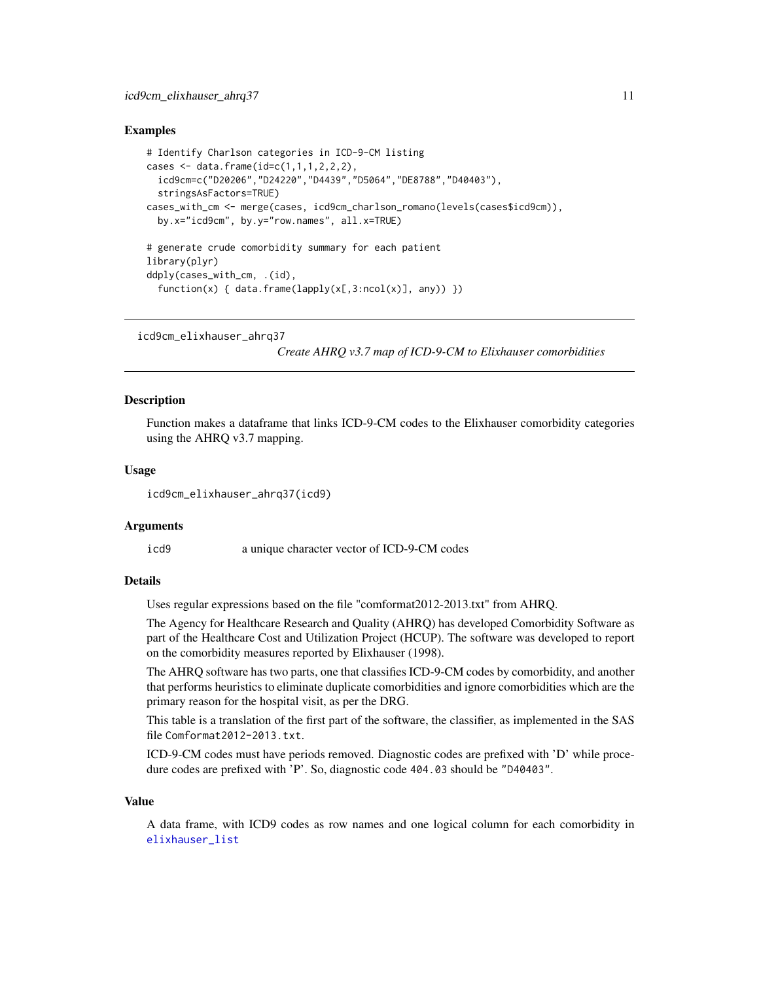#### <span id="page-10-0"></span>Examples

```
# Identify Charlson categories in ICD-9-CM listing
cases <- data.frame(id=c(1,1,1,2,2,2),
  icd9cm=c("D20206","D24220","D4439","D5064","DE8788","D40403"),
 stringsAsFactors=TRUE)
cases_with_cm <- merge(cases, icd9cm_charlson_romano(levels(cases$icd9cm)),
 by.x="icd9cm", by.y="row.names", all.x=TRUE)
# generate crude comorbidity summary for each patient
library(plyr)
ddply(cases_with_cm, .(id),
  function(x) { data.frame(lapply(x[,3:ncol(x)], any)) })
```
<span id="page-10-1"></span>icd9cm\_elixhauser\_ahrq37

*Create AHRQ v3.7 map of ICD-9-CM to Elixhauser comorbidities*

#### Description

Function makes a dataframe that links ICD-9-CM codes to the Elixhauser comorbidity categories using the AHRQ v3.7 mapping.

#### Usage

icd9cm\_elixhauser\_ahrq37(icd9)

#### Arguments

icd9 a unique character vector of ICD-9-CM codes

#### Details

Uses regular expressions based on the file "comformat2012-2013.txt" from AHRQ.

The Agency for Healthcare Research and Quality (AHRQ) has developed Comorbidity Software as part of the Healthcare Cost and Utilization Project (HCUP). The software was developed to report on the comorbidity measures reported by Elixhauser (1998).

The AHRQ software has two parts, one that classifies ICD-9-CM codes by comorbidity, and another that performs heuristics to eliminate duplicate comorbidities and ignore comorbidities which are the primary reason for the hospital visit, as per the DRG.

This table is a translation of the first part of the software, the classifier, as implemented in the SAS file Comformat2012-2013.txt.

ICD-9-CM codes must have periods removed. Diagnostic codes are prefixed with 'D' while procedure codes are prefixed with 'P'. So, diagnostic code 404.03 should be "D40403".

#### Value

A data frame, with ICD9 codes as row names and one logical column for each comorbidity in [elixhauser\\_list](#page-4-1)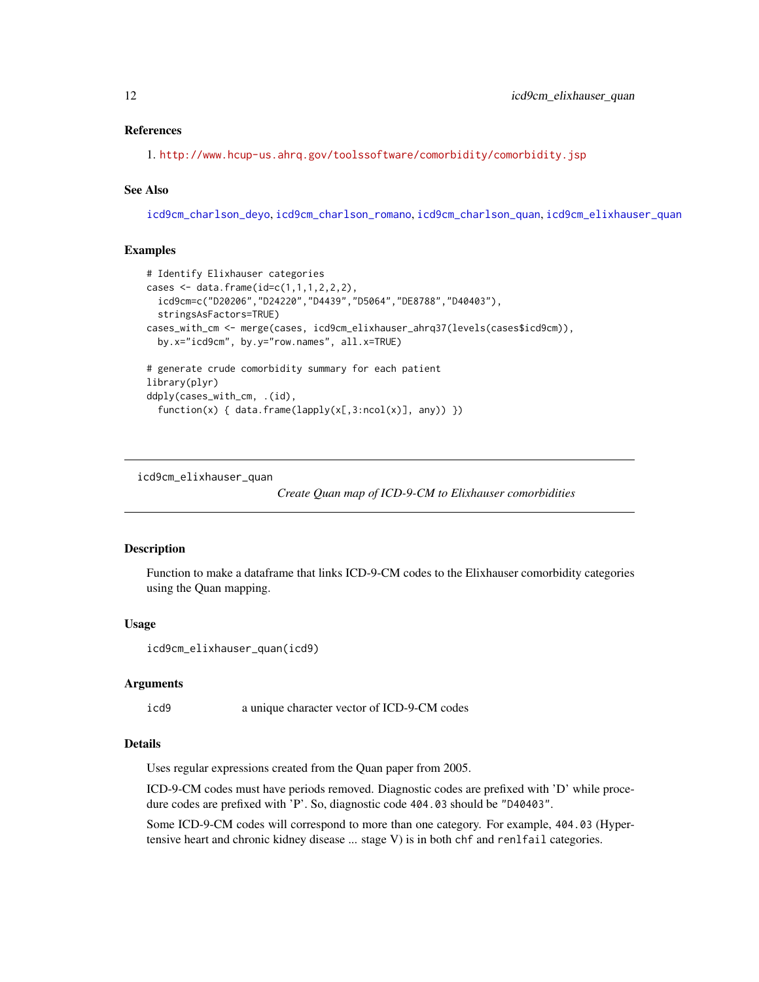<span id="page-11-0"></span>1. <http://www.hcup-us.ahrq.gov/toolssoftware/comorbidity/comorbidity.jsp>

#### See Also

[icd9cm\\_charlson\\_deyo](#page-6-1), [icd9cm\\_charlson\\_romano](#page-9-1), [icd9cm\\_charlson\\_quan](#page-7-1), [icd9cm\\_elixhauser\\_quan](#page-11-1)

#### Examples

```
# Identify Elixhauser categories
cases \leq data.frame(id=c(1,1,1,2,2,2),
  icd9cm=c("D20206","D24220","D4439","D5064","DE8788","D40403"),
  stringsAsFactors=TRUE)
cases_with_cm <- merge(cases, icd9cm_elixhauser_ahrq37(levels(cases$icd9cm)),
  by.x="icd9cm", by.y="row.names", all.x=TRUE)
# generate crude comorbidity summary for each patient
library(plyr)
ddply(cases_with_cm, .(id),
  function(x) { data.frame(lapply(x[,3:ncol(x)], any)) })
```
<span id="page-11-1"></span>icd9cm\_elixhauser\_quan

*Create Quan map of ICD-9-CM to Elixhauser comorbidities*

#### Description

Function to make a dataframe that links ICD-9-CM codes to the Elixhauser comorbidity categories using the Quan mapping.

#### Usage

```
icd9cm_elixhauser_quan(icd9)
```
#### Arguments

```
icd9 a unique character vector of ICD-9-CM codes
```
#### Details

Uses regular expressions created from the Quan paper from 2005.

ICD-9-CM codes must have periods removed. Diagnostic codes are prefixed with 'D' while procedure codes are prefixed with 'P'. So, diagnostic code 404.03 should be "D40403".

Some ICD-9-CM codes will correspond to more than one category. For example, 404.03 (Hypertensive heart and chronic kidney disease ... stage V) is in both chf and renlfail categories.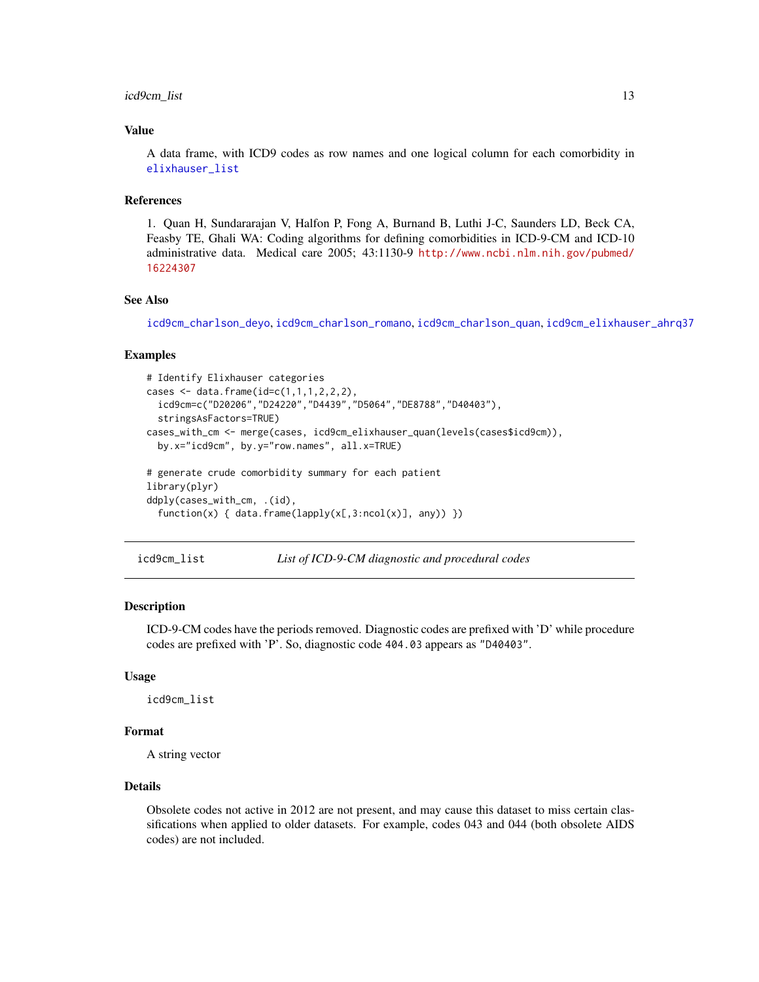#### <span id="page-12-0"></span>icd9cm\_list 13

#### Value

A data frame, with ICD9 codes as row names and one logical column for each comorbidity in [elixhauser\\_list](#page-4-1)

#### References

1. Quan H, Sundararajan V, Halfon P, Fong A, Burnand B, Luthi J-C, Saunders LD, Beck CA, Feasby TE, Ghali WA: Coding algorithms for defining comorbidities in ICD-9-CM and ICD-10 administrative data. Medical care 2005; 43:1130-9 [http://www.ncbi.nlm.nih.gov/pubmed/](http://www.ncbi.nlm.nih.gov/pubmed/16224307) [16224307](http://www.ncbi.nlm.nih.gov/pubmed/16224307)

#### See Also

[icd9cm\\_charlson\\_deyo](#page-6-1), [icd9cm\\_charlson\\_romano](#page-9-1), [icd9cm\\_charlson\\_quan](#page-7-1), [icd9cm\\_elixhauser\\_ahrq37](#page-10-1)

#### Examples

```
# Identify Elixhauser categories
cases <- data.frame(id=c(1,1,1,2,2,2),
 icd9cm=c("D20206","D24220","D4439","D5064","DE8788","D40403"),
  stringsAsFactors=TRUE)
cases_with_cm <- merge(cases, icd9cm_elixhauser_quan(levels(cases$icd9cm)),
 by.x="icd9cm", by.y="row.names", all.x=TRUE)
# generate crude comorbidity summary for each patient
library(plyr)
ddply(cases_with_cm, .(id),
 function(x) { data.frame(lapply(x[,3:ncol(x)], any)) })
```
icd9cm\_list *List of ICD-9-CM diagnostic and procedural codes*

#### Description

ICD-9-CM codes have the periods removed. Diagnostic codes are prefixed with 'D' while procedure codes are prefixed with 'P'. So, diagnostic code 404.03 appears as "D40403".

#### Usage

icd9cm\_list

#### Format

A string vector

#### Details

Obsolete codes not active in 2012 are not present, and may cause this dataset to miss certain classifications when applied to older datasets. For example, codes 043 and 044 (both obsolete AIDS codes) are not included.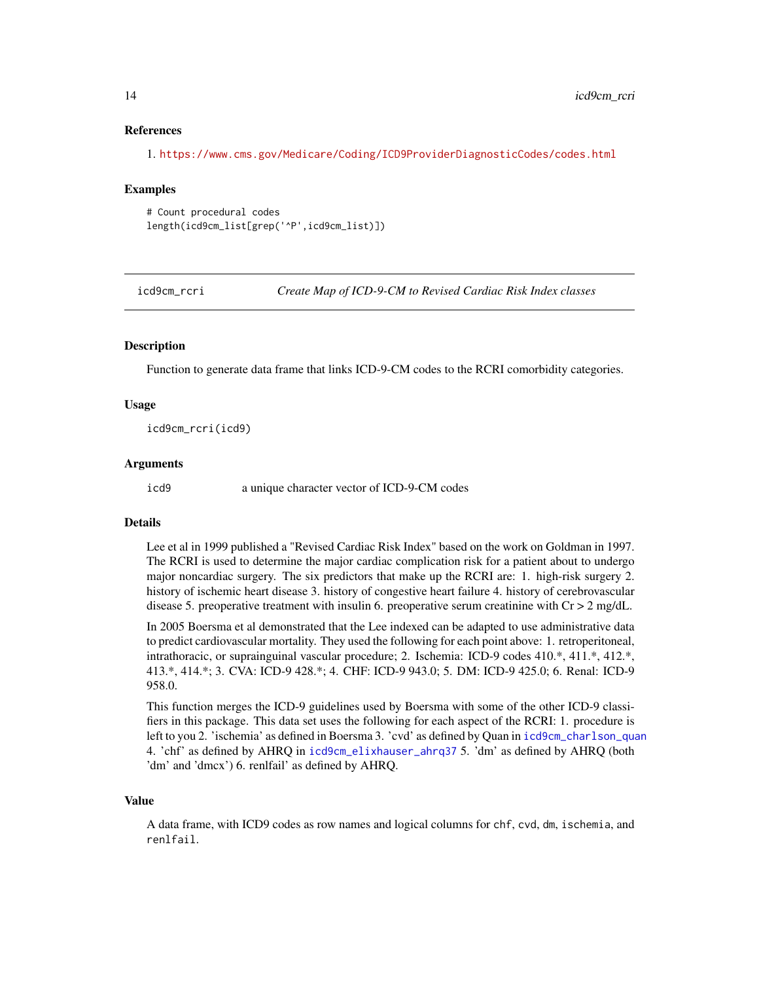1. <https://www.cms.gov/Medicare/Coding/ICD9ProviderDiagnosticCodes/codes.html>

#### Examples

```
# Count procedural codes
length(icd9cm_list[grep('^P',icd9cm_list)])
```
icd9cm\_rcri *Create Map of ICD-9-CM to Revised Cardiac Risk Index classes*

#### **Description**

Function to generate data frame that links ICD-9-CM codes to the RCRI comorbidity categories.

#### Usage

icd9cm\_rcri(icd9)

#### Arguments

icd9 a unique character vector of ICD-9-CM codes

#### Details

Lee et al in 1999 published a "Revised Cardiac Risk Index" based on the work on Goldman in 1997. The RCRI is used to determine the major cardiac complication risk for a patient about to undergo major noncardiac surgery. The six predictors that make up the RCRI are: 1. high-risk surgery 2. history of ischemic heart disease 3. history of congestive heart failure 4. history of cerebrovascular disease 5. preoperative treatment with insulin 6. preoperative serum creatinine with  $Cr > 2$  mg/dL.

In 2005 Boersma et al demonstrated that the Lee indexed can be adapted to use administrative data to predict cardiovascular mortality. They used the following for each point above: 1. retroperitoneal, intrathoracic, or suprainguinal vascular procedure; 2. Ischemia: ICD-9 codes 410.\*, 411.\*, 412.\*, 413.\*, 414.\*; 3. CVA: ICD-9 428.\*; 4. CHF: ICD-9 943.0; 5. DM: ICD-9 425.0; 6. Renal: ICD-9 958.0.

This function merges the ICD-9 guidelines used by Boersma with some of the other ICD-9 classifiers in this package. This data set uses the following for each aspect of the RCRI: 1. procedure is left to you 2. 'ischemia' as defined in Boersma 3. 'cvd' as defined by Quan in [icd9cm\\_charlson\\_quan](#page-7-1) 4. 'chf' as defined by AHRQ in [icd9cm\\_elixhauser\\_ahrq37](#page-10-1) 5. 'dm' as defined by AHRQ (both 'dm' and 'dmcx') 6. renlfail' as defined by AHRQ.

#### Value

A data frame, with ICD9 codes as row names and logical columns for chf, cvd, dm, ischemia, and renlfail.

<span id="page-13-0"></span>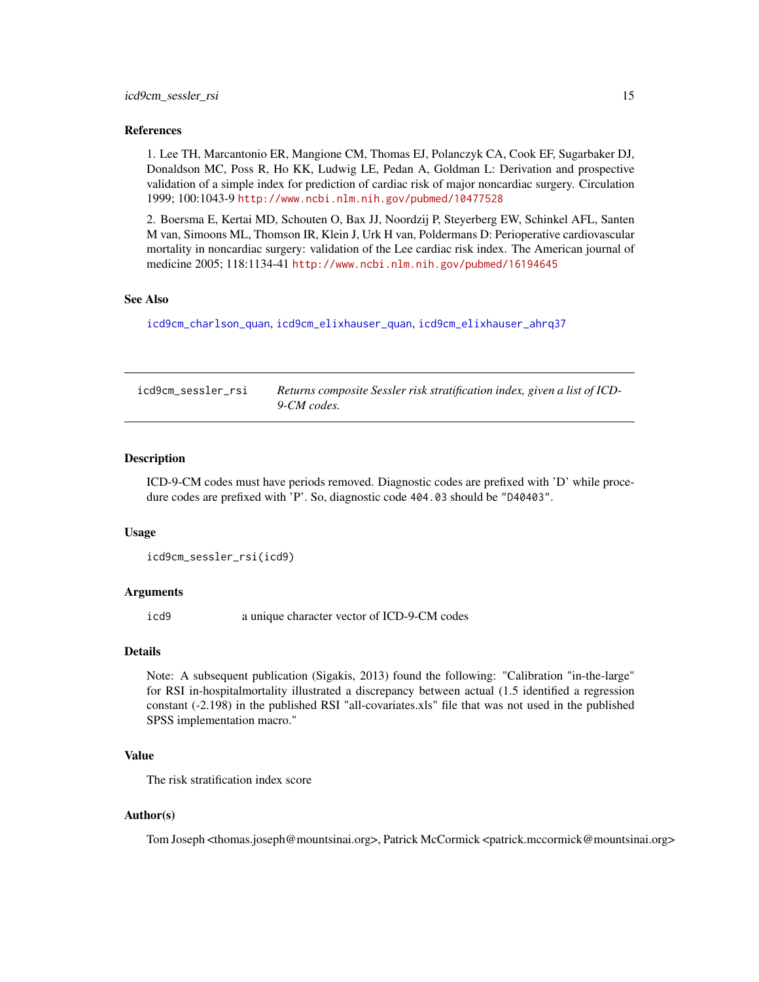<span id="page-14-0"></span>1. Lee TH, Marcantonio ER, Mangione CM, Thomas EJ, Polanczyk CA, Cook EF, Sugarbaker DJ, Donaldson MC, Poss R, Ho KK, Ludwig LE, Pedan A, Goldman L: Derivation and prospective validation of a simple index for prediction of cardiac risk of major noncardiac surgery. Circulation 1999; 100:1043-9 <http://www.ncbi.nlm.nih.gov/pubmed/10477528>

2. Boersma E, Kertai MD, Schouten O, Bax JJ, Noordzij P, Steyerberg EW, Schinkel AFL, Santen M van, Simoons ML, Thomson IR, Klein J, Urk H van, Poldermans D: Perioperative cardiovascular mortality in noncardiac surgery: validation of the Lee cardiac risk index. The American journal of medicine 2005; 118:1134-41 <http://www.ncbi.nlm.nih.gov/pubmed/16194645>

#### See Also

[icd9cm\\_charlson\\_quan](#page-7-1), [icd9cm\\_elixhauser\\_quan](#page-11-1), [icd9cm\\_elixhauser\\_ahrq37](#page-10-1)

icd9cm\_sessler\_rsi *Returns composite Sessler risk stratification index, given a list of ICD-9-CM codes.*

#### **Description**

ICD-9-CM codes must have periods removed. Diagnostic codes are prefixed with 'D' while procedure codes are prefixed with 'P'. So, diagnostic code 404.03 should be "D40403".

#### Usage

```
icd9cm_sessler_rsi(icd9)
```
#### **Arguments**

icd9 a unique character vector of ICD-9-CM codes

#### Details

Note: A subsequent publication (Sigakis, 2013) found the following: "Calibration "in-the-large" for RSI in-hospitalmortality illustrated a discrepancy between actual (1.5 identified a regression constant (-2.198) in the published RSI "all-covariates.xls" file that was not used in the published SPSS implementation macro."

#### Value

The risk stratification index score

#### Author(s)

Tom Joseph <thomas.joseph@mountsinai.org>, Patrick McCormick <patrick.mccormick@mountsinai.org>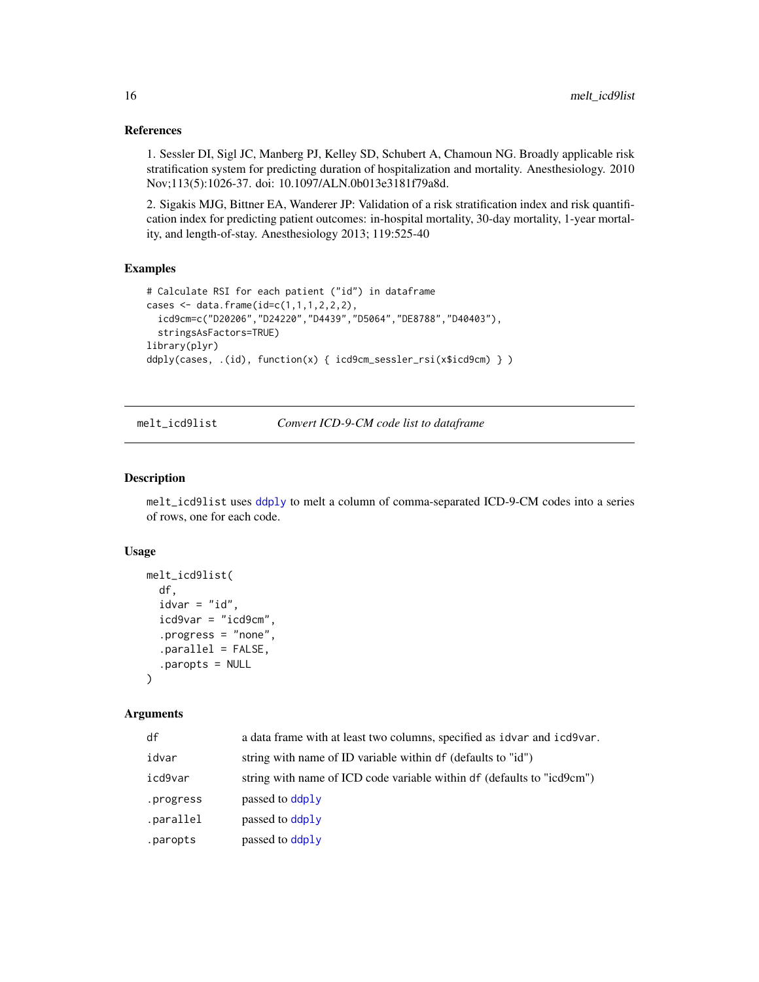1. Sessler DI, Sigl JC, Manberg PJ, Kelley SD, Schubert A, Chamoun NG. Broadly applicable risk stratification system for predicting duration of hospitalization and mortality. Anesthesiology. 2010 Nov;113(5):1026-37. doi: 10.1097/ALN.0b013e3181f79a8d.

2. Sigakis MJG, Bittner EA, Wanderer JP: Validation of a risk stratification index and risk quantification index for predicting patient outcomes: in-hospital mortality, 30-day mortality, 1-year mortality, and length-of-stay. Anesthesiology 2013; 119:525-40

#### Examples

```
# Calculate RSI for each patient ("id") in dataframe
cases <- data.frame(id=c(1,1,1,2,2,2),
  icd9cm=c("D20206","D24220","D4439","D5064","DE8788","D40403"),
  stringsAsFactors=TRUE)
library(plyr)
ddply(cases, .(id), function(x) { icd9cm_sessler_rsi(x$icd9cm) } )
```
<span id="page-15-1"></span>melt\_icd9list *Convert ICD-9-CM code list to dataframe*

#### Description

melt\_icd9list uses [ddply](#page-0-0) to melt a column of comma-separated ICD-9-CM codes into a series of rows, one for each code.

#### Usage

```
melt_icd9list(
  df,
  idvar = "id",icd9var = "icd9cm",.progress = "none",
  .parallel = FALSE,
  .paropts = NULL
\lambda
```
#### Arguments

| df        | a data frame with at least two columns, specified as idvar and icd9var. |
|-----------|-------------------------------------------------------------------------|
| idvar     | string with name of ID variable within df (defaults to "id")            |
| icd9var   | string with name of ICD code variable within df (defaults to "icd9cm")  |
| .progress | passed to ddply                                                         |
| .parallel | passed to ddply                                                         |
| .paropts  | passed to ddply                                                         |

<span id="page-15-0"></span>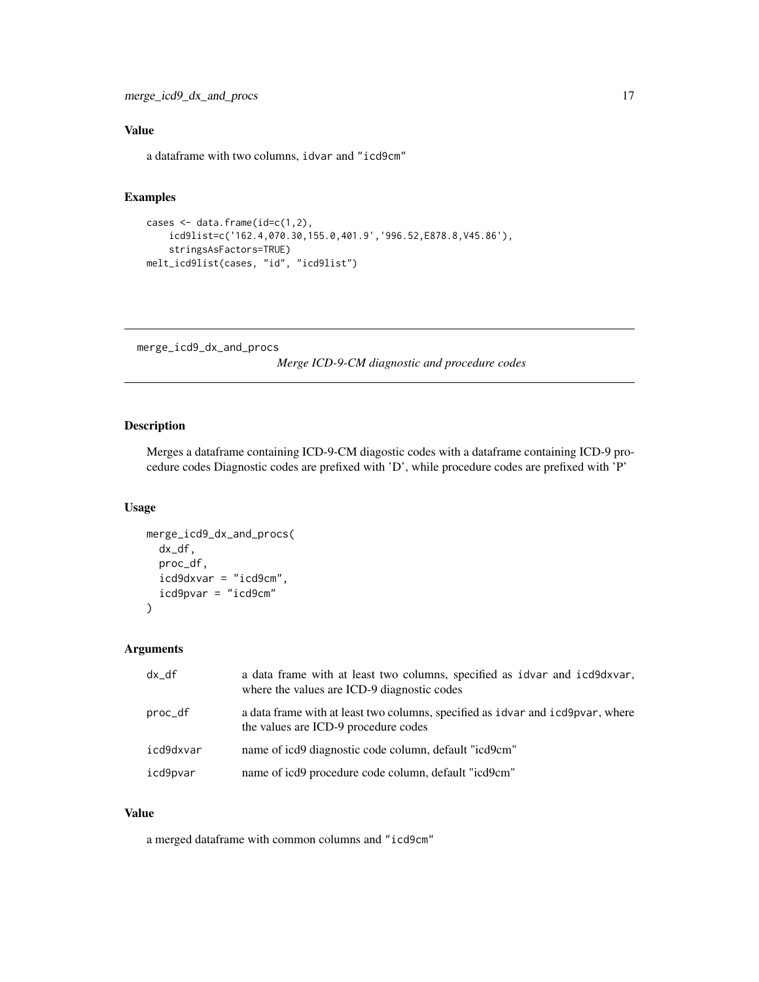#### <span id="page-16-0"></span>Value

a dataframe with two columns, idvar and "icd9cm"

#### Examples

```
cases \leq data.frame(id=c(1,2),
    icd9list=c('162.4,070.30,155.0,401.9','996.52,E878.8,V45.86'),
   stringsAsFactors=TRUE)
melt_icd9list(cases, "id", "icd9list")
```
merge\_icd9\_dx\_and\_procs

*Merge ICD-9-CM diagnostic and procedure codes*

#### Description

Merges a dataframe containing ICD-9-CM diagostic codes with a dataframe containing ICD-9 procedure codes Diagnostic codes are prefixed with 'D', while procedure codes are prefixed with 'P'

#### Usage

```
merge_icd9_dx_and_procs(
  dx_df,
  proc_df,
  icd9dxvar = "icd9cm",
  icd9pvar = "icd9cm"
\mathcal{E}
```
#### Arguments

| $dx_d$    | a data frame with at least two columns, specified as idvar and icd9dxvar,<br>where the values are ICD-9 diagnostic codes |
|-----------|--------------------------------------------------------------------------------------------------------------------------|
| proc_df   | a data frame with at least two columns, specified as idvar and icd9pvar, where<br>the values are ICD-9 procedure codes   |
| icd9dxvar | name of icd9 diagnostic code column, default "icd9cm"                                                                    |
| icd9pvar  | name of icd9 procedure code column, default "icd9cm"                                                                     |

#### Value

a merged dataframe with common columns and "icd9cm"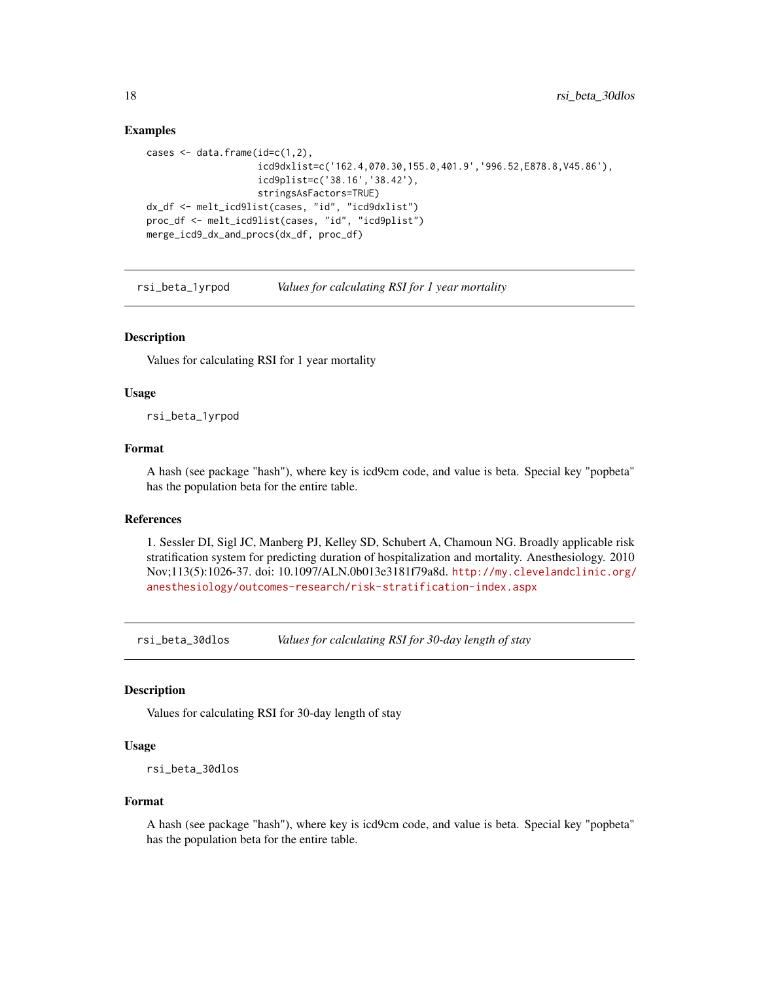#### Examples

```
cases \leq data.frame(id=c(1,2),
                    icd9dxlist=c('162.4,070.30,155.0,401.9','996.52,E878.8,V45.86'),
                    icd9plist=c('38.16','38.42'),
                    stringsAsFactors=TRUE)
dx_df <- melt_icd9list(cases, "id", "icd9dxlist")
proc_df <- melt_icd9list(cases, "id", "icd9plist")
merge_icd9_dx_and_procs(dx_df, proc_df)
```
rsi\_beta\_1yrpod *Values for calculating RSI for 1 year mortality*

#### **Description**

Values for calculating RSI for 1 year mortality

#### Usage

rsi\_beta\_1yrpod

#### Format

A hash (see package "hash"), where key is icd9cm code, and value is beta. Special key "popbeta" has the population beta for the entire table.

#### References

1. Sessler DI, Sigl JC, Manberg PJ, Kelley SD, Schubert A, Chamoun NG. Broadly applicable risk stratification system for predicting duration of hospitalization and mortality. Anesthesiology. 2010 Nov;113(5):1026-37. doi: 10.1097/ALN.0b013e3181f79a8d. [http://my.clevelandclinic.org/](http://my.clevelandclinic.org/anesthesiology/outcomes-research/risk-stratification-index.aspx) [anesthesiology/outcomes-research/risk-stratification-index.aspx](http://my.clevelandclinic.org/anesthesiology/outcomes-research/risk-stratification-index.aspx)

rsi\_beta\_30dlos *Values for calculating RSI for 30-day length of stay*

#### Description

Values for calculating RSI for 30-day length of stay

#### Usage

```
rsi_beta_30dlos
```
#### Format

A hash (see package "hash"), where key is icd9cm code, and value is beta. Special key "popbeta" has the population beta for the entire table.

<span id="page-17-0"></span>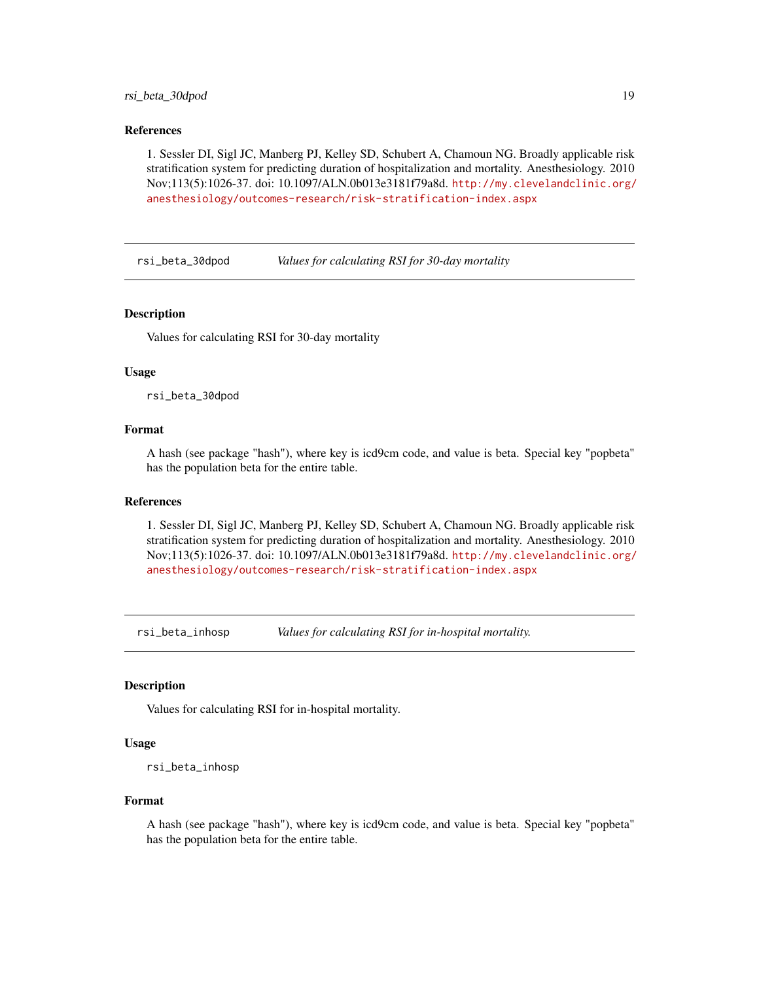#### <span id="page-18-0"></span>rsi\_beta\_30dpod 19

#### References

1. Sessler DI, Sigl JC, Manberg PJ, Kelley SD, Schubert A, Chamoun NG. Broadly applicable risk stratification system for predicting duration of hospitalization and mortality. Anesthesiology. 2010 Nov;113(5):1026-37. doi: 10.1097/ALN.0b013e3181f79a8d. [http://my.clevelandclinic.org/](http://my.clevelandclinic.org/anesthesiology/outcomes-research/risk-stratification-index.aspx) [anesthesiology/outcomes-research/risk-stratification-index.aspx](http://my.clevelandclinic.org/anesthesiology/outcomes-research/risk-stratification-index.aspx)

rsi\_beta\_30dpod *Values for calculating RSI for 30-day mortality*

#### **Description**

Values for calculating RSI for 30-day mortality

#### Usage

rsi\_beta\_30dpod

#### Format

A hash (see package "hash"), where key is icd9cm code, and value is beta. Special key "popbeta" has the population beta for the entire table.

#### References

1. Sessler DI, Sigl JC, Manberg PJ, Kelley SD, Schubert A, Chamoun NG. Broadly applicable risk stratification system for predicting duration of hospitalization and mortality. Anesthesiology. 2010 Nov;113(5):1026-37. doi: 10.1097/ALN.0b013e3181f79a8d. [http://my.clevelandclinic.org/](http://my.clevelandclinic.org/anesthesiology/outcomes-research/risk-stratification-index.aspx) [anesthesiology/outcomes-research/risk-stratification-index.aspx](http://my.clevelandclinic.org/anesthesiology/outcomes-research/risk-stratification-index.aspx)

rsi\_beta\_inhosp *Values for calculating RSI for in-hospital mortality.*

#### **Description**

Values for calculating RSI for in-hospital mortality.

#### Usage

rsi\_beta\_inhosp

#### Format

A hash (see package "hash"), where key is icd9cm code, and value is beta. Special key "popbeta" has the population beta for the entire table.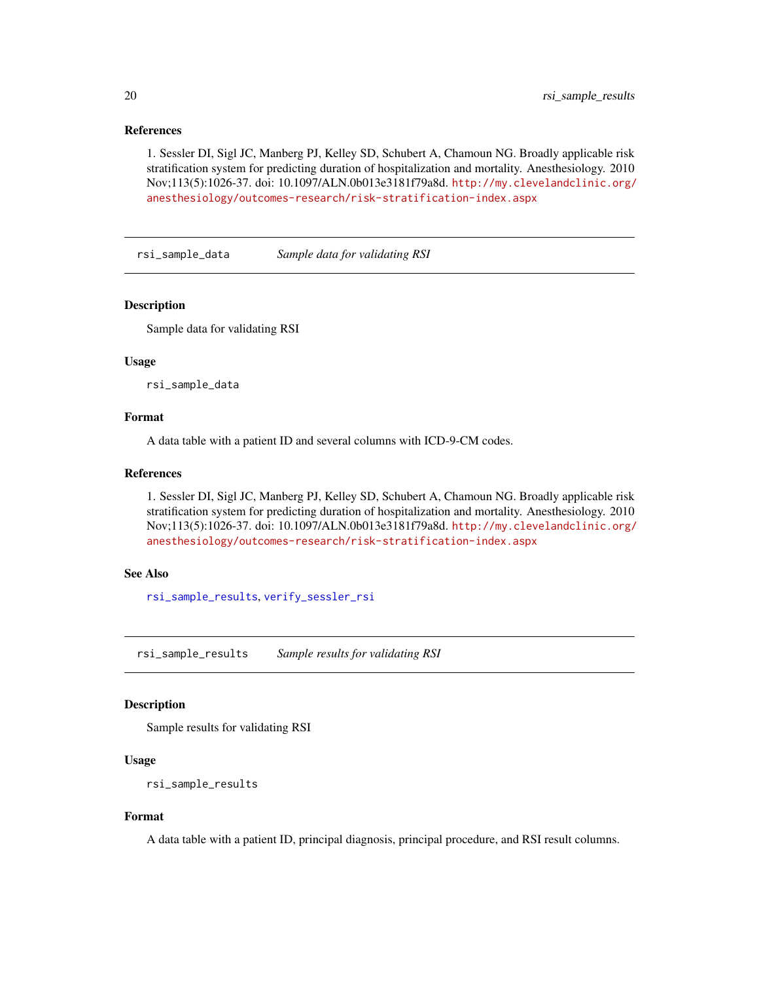<span id="page-19-0"></span>1. Sessler DI, Sigl JC, Manberg PJ, Kelley SD, Schubert A, Chamoun NG. Broadly applicable risk stratification system for predicting duration of hospitalization and mortality. Anesthesiology. 2010 Nov;113(5):1026-37. doi: 10.1097/ALN.0b013e3181f79a8d. [http://my.clevelandclinic.org/](http://my.clevelandclinic.org/anesthesiology/outcomes-research/risk-stratification-index.aspx) [anesthesiology/outcomes-research/risk-stratification-index.aspx](http://my.clevelandclinic.org/anesthesiology/outcomes-research/risk-stratification-index.aspx)

<span id="page-19-2"></span>rsi\_sample\_data *Sample data for validating RSI*

#### **Description**

Sample data for validating RSI

#### Usage

rsi\_sample\_data

#### Format

A data table with a patient ID and several columns with ICD-9-CM codes.

#### References

1. Sessler DI, Sigl JC, Manberg PJ, Kelley SD, Schubert A, Chamoun NG. Broadly applicable risk stratification system for predicting duration of hospitalization and mortality. Anesthesiology. 2010 Nov;113(5):1026-37. doi: 10.1097/ALN.0b013e3181f79a8d. [http://my.clevelandclinic.org/](http://my.clevelandclinic.org/anesthesiology/outcomes-research/risk-stratification-index.aspx) [anesthesiology/outcomes-research/risk-stratification-index.aspx](http://my.clevelandclinic.org/anesthesiology/outcomes-research/risk-stratification-index.aspx)

#### See Also

[rsi\\_sample\\_results](#page-19-1), [verify\\_sessler\\_rsi](#page-21-1)

<span id="page-19-1"></span>rsi\_sample\_results *Sample results for validating RSI*

#### Description

Sample results for validating RSI

#### Usage

rsi\_sample\_results

#### Format

A data table with a patient ID, principal diagnosis, principal procedure, and RSI result columns.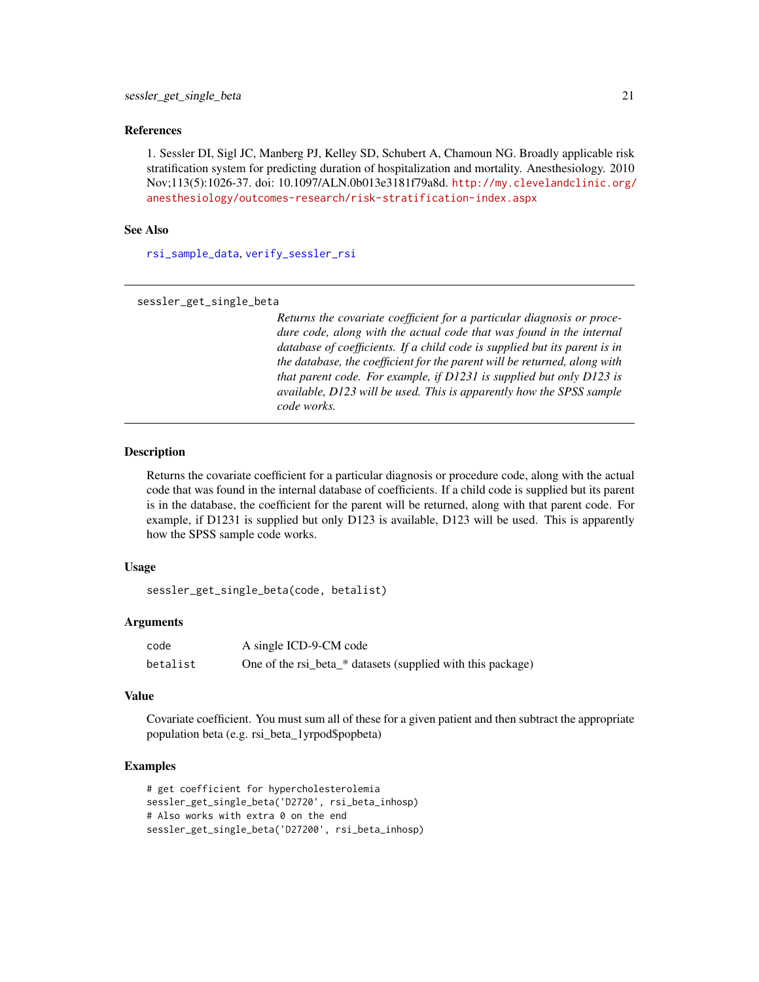<span id="page-20-0"></span>1. Sessler DI, Sigl JC, Manberg PJ, Kelley SD, Schubert A, Chamoun NG. Broadly applicable risk stratification system for predicting duration of hospitalization and mortality. Anesthesiology. 2010 Nov;113(5):1026-37. doi: 10.1097/ALN.0b013e3181f79a8d. [http://my.clevelandclinic.org/](http://my.clevelandclinic.org/anesthesiology/outcomes-research/risk-stratification-index.aspx) [anesthesiology/outcomes-research/risk-stratification-index.aspx](http://my.clevelandclinic.org/anesthesiology/outcomes-research/risk-stratification-index.aspx)

#### See Also

[rsi\\_sample\\_data](#page-19-2), [verify\\_sessler\\_rsi](#page-21-1)

```
sessler_get_single_beta
```
*Returns the covariate coefficient for a particular diagnosis or procedure code, along with the actual code that was found in the internal database of coefficients. If a child code is supplied but its parent is in the database, the coefficient for the parent will be returned, along with that parent code. For example, if D1231 is supplied but only D123 is available, D123 will be used. This is apparently how the SPSS sample code works.*

#### Description

Returns the covariate coefficient for a particular diagnosis or procedure code, along with the actual code that was found in the internal database of coefficients. If a child code is supplied but its parent is in the database, the coefficient for the parent will be returned, along with that parent code. For example, if D1231 is supplied but only D123 is available, D123 will be used. This is apparently how the SPSS sample code works.

#### Usage

```
sessler_get_single_beta(code, betalist)
```
#### Arguments

| code     | A single ICD-9-CM code                                      |
|----------|-------------------------------------------------------------|
| betalist | One of the rsi_beta_* datasets (supplied with this package) |

#### Value

Covariate coefficient. You must sum all of these for a given patient and then subtract the appropriate population beta (e.g. rsi\_beta\_1yrpod\$popbeta)

#### Examples

```
# get coefficient for hypercholesterolemia
sessler_get_single_beta('D2720', rsi_beta_inhosp)
# Also works with extra 0 on the end
sessler_get_single_beta('D27200', rsi_beta_inhosp)
```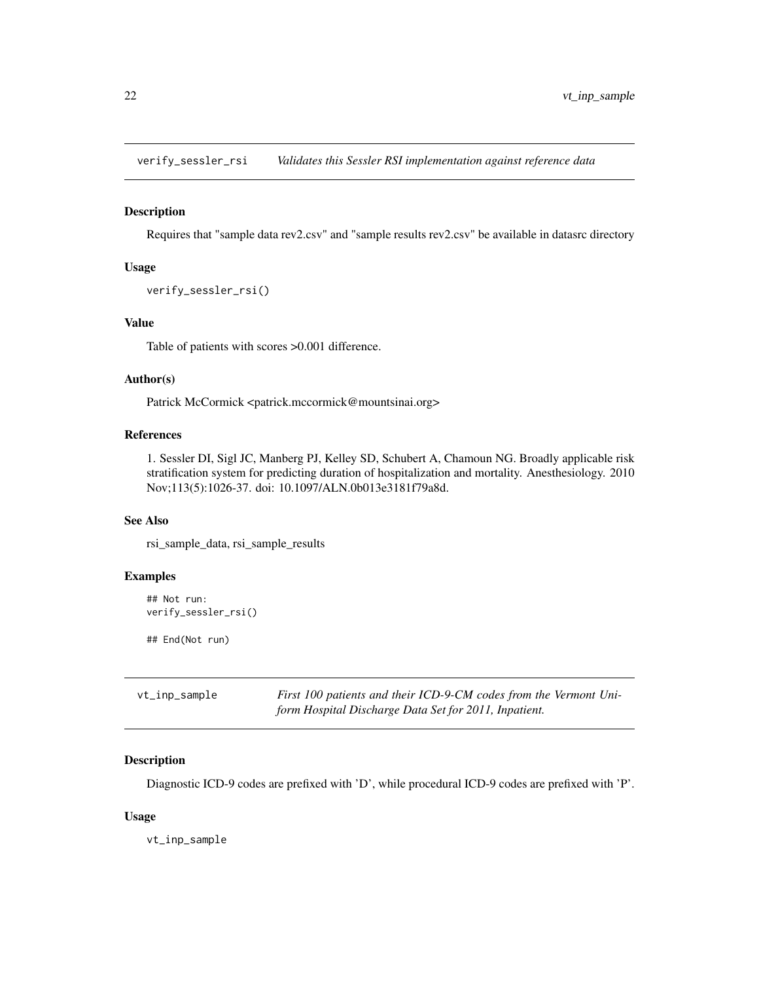<span id="page-21-1"></span><span id="page-21-0"></span>verify\_sessler\_rsi *Validates this Sessler RSI implementation against reference data*

#### Description

Requires that "sample data rev2.csv" and "sample results rev2.csv" be available in datasrc directory

#### Usage

```
verify_sessler_rsi()
```
#### Value

Table of patients with scores >0.001 difference.

#### Author(s)

Patrick McCormick <patrick.mccormick@mountsinai.org>

#### References

1. Sessler DI, Sigl JC, Manberg PJ, Kelley SD, Schubert A, Chamoun NG. Broadly applicable risk stratification system for predicting duration of hospitalization and mortality. Anesthesiology. 2010 Nov;113(5):1026-37. doi: 10.1097/ALN.0b013e3181f79a8d.

#### See Also

rsi\_sample\_data, rsi\_sample\_results

#### Examples

```
## Not run:
verify_sessler_rsi()
```
## End(Not run)

| vt_inp_sample | First 100 patients and their ICD-9-CM codes from the Vermont Uni- |
|---------------|-------------------------------------------------------------------|
|               | form Hospital Discharge Data Set for 2011, Inpatient.             |

#### Description

Diagnostic ICD-9 codes are prefixed with 'D', while procedural ICD-9 codes are prefixed with 'P'.

#### Usage

vt\_inp\_sample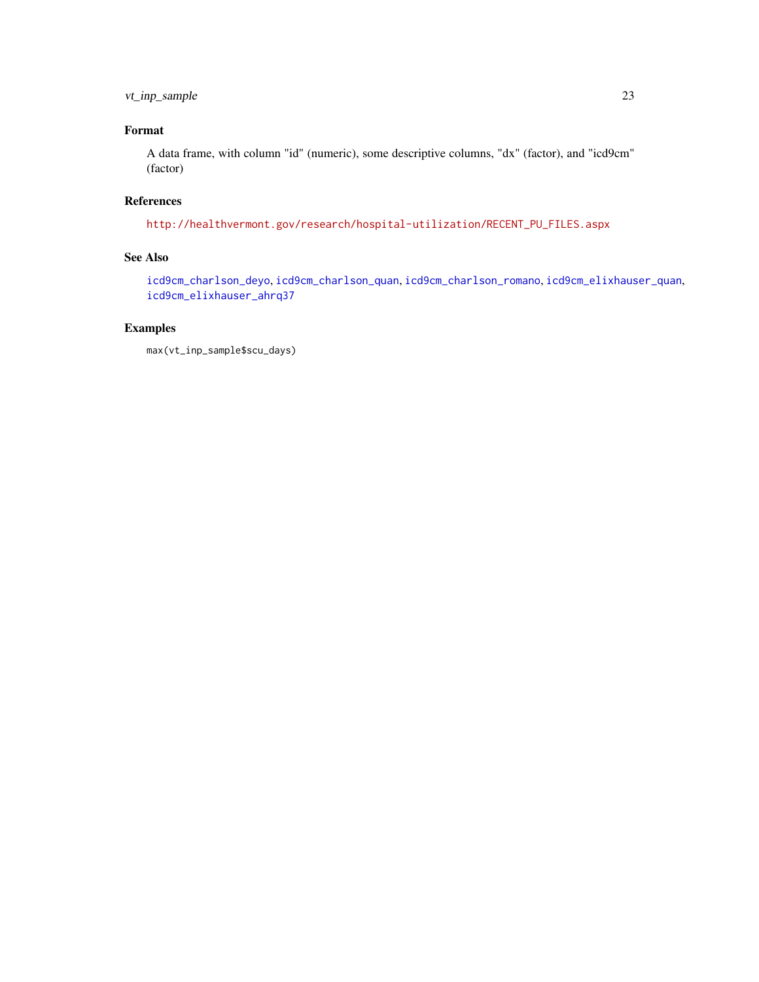#### <span id="page-22-0"></span>vt\_inp\_sample 23

#### Format

A data frame, with column "id" (numeric), some descriptive columns, "dx" (factor), and "icd9cm" (factor)

#### References

[http://healthvermont.gov/research/hospital-utilization/RECENT\\_PU\\_FILES.aspx](http://healthvermont.gov/research/hospital-utilization/RECENT_PU_FILES.aspx)

#### See Also

[icd9cm\\_charlson\\_deyo](#page-6-1), [icd9cm\\_charlson\\_quan](#page-7-1), [icd9cm\\_charlson\\_romano](#page-9-1), [icd9cm\\_elixhauser\\_quan](#page-11-1), [icd9cm\\_elixhauser\\_ahrq37](#page-10-1)

#### Examples

```
max(vt_inp_sample$scu_days)
```